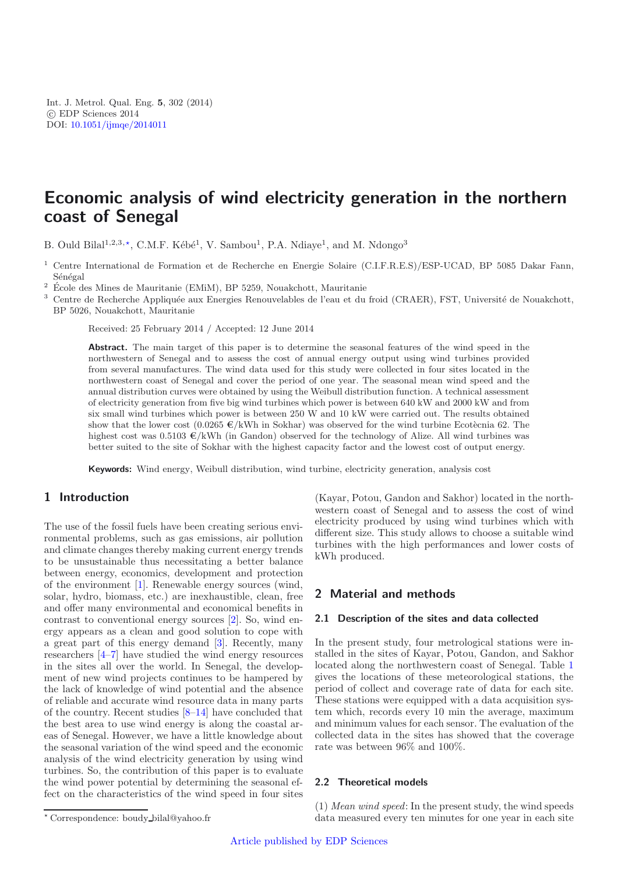Int. J. Metrol. Qual. Eng. **5**, 302 (2014) -c EDP Sciences 2014 DOI: [10.1051/ijmqe/2014011](http://dx.doi.org/10.1051/ijmqe/2014011)

# **Economic analysis of wind electricity generation in the northern coast of Senegal**

B. Ould Bilal<sup>1,2,3,\*</sup>, C.M.F. Kébé<sup>1</sup>, V. Sambou<sup>1</sup>, P.A. Ndiaye<sup>1</sup>, and M. Ndongo<sup>3</sup>

<sup>1</sup> Centre International de Formation et de Recherche en Energie Solaire (C.I.F.R.E.S)/ESP-UCAD, BP 5085 Dakar Fann, Sénégal

 $2\,$  École des Mines de Mauritanie (EMiM), BP 5259, Nouakchott, Mauritanie

Centre de Recherche Appliquée aux Energies Renouvelables de l'eau et du froid (CRAER), FST, Université de Nouakchott, BP 5026, Nouakchott, Mauritanie

Received: 25 February 2014 / Accepted: 12 June 2014

**Abstract.** The main target of this paper is to determine the seasonal features of the wind speed in the northwestern of Senegal and to assess the cost of annual energy output using wind turbines provided from several manufactures. The wind data used for this study were collected in four sites located in the northwestern coast of Senegal and cover the period of one year. The seasonal mean wind speed and the annual distribution curves were obtained by using the Weibull distribution function. A technical assessment of electricity generation from five big wind turbines which power is between 640 kW and 2000 kW and from six small wind turbines which power is between 250 W and 10 kW were carried out. The results obtained show that the lower cost  $(0.0265 \in K)$  kWh in Sokhar) was observed for the wind turbine Ecotècnia 62. The highest cost was  $0.5103 \epsilon/kWh$  (in Gandon) observed for the technology of Alize. All wind turbines was better suited to the site of Sokhar with the highest capacity factor and the lowest cost of output energy.

**Keywords:** Wind energy, Weibull distribution, wind turbine, electricity generation, analysis cost

# **1 Introduction**

The use of the fossil fuels have been creating serious environmental problems, such as gas emissions, air pollution and climate changes thereby making current energy trends to be unsustainable thus necessitating a better balance between energy, economics, development and protection of the environment [\[1\]](#page-5-0). Renewable energy sources (wind, solar, hydro, biomass, etc.) are inexhaustible, clean, free and offer many environmental and economical benefits in contrast to conventional energy sources [\[2](#page-5-1)]. So, wind energy appears as a clean and good solution to cope with a great part of this energy demand [\[3\]](#page-5-2). Recently, many researchers [\[4](#page-5-3)[–7\]](#page-5-4) have studied the wind energy resources in the sites all over the world. In Senegal, the development of new wind projects continues to be hampered by the lack of knowledge of wind potential and the absence of reliable and accurate wind resource data in many parts of the country. Recent studies [\[8](#page-6-0)[–14](#page-6-1)] have concluded that the best area to use wind energy is along the coastal areas of Senegal. However, we have a little knowledge about the seasonal variation of the wind speed and the economic analysis of the wind electricity generation by using wind turbines. So, the contribution of this paper is to evaluate the wind power potential by determining the seasonal effect on the characteristics of the wind speed in four sites

(Kayar, Potou, Gandon and Sakhor) located in the northwestern coast of Senegal and to assess the cost of wind electricity produced by using wind turbines which with different size. This study allows to choose a suitable wind turbines with the high performances and lower costs of kWh produced.

## **2 Material and methods**

## **2.1 Description of the sites and data collected**

In the present study, four metrological stations were installed in the sites of Kayar, Potou, Gandon, and Sakhor located along the northwestern coast of Senegal. Table [1](#page-1-0) gives the locations of these meteorological stations, the period of collect and coverage rate of data for each site. These stations were equipped with a data acquisition system which, records every 10 min the average, maximum and minimum values for each sensor. The evaluation of the collected data in the sites has showed that the coverage rate was between 96% and 100%.

## **2.2 Theoretical models**

(1) *Mean wind speed*: In the present study, the wind speeds data measured every ten minutes for one year in each site

<sup>-</sup> Correspondence: boudy bilal@yahoo.fr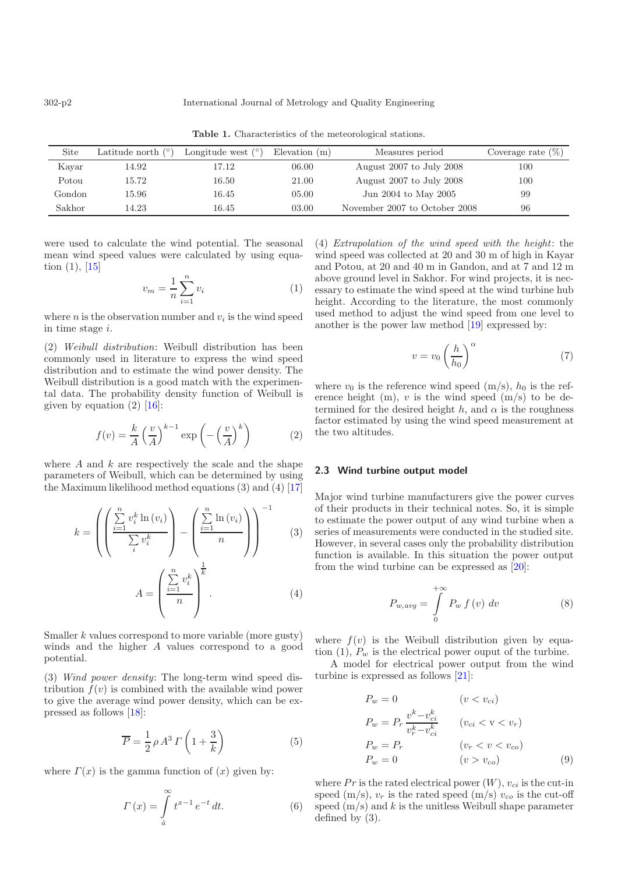#### 302-p2 International Journal of Metrology and Quality Engineering

| Site   | Latitude north $(°)$ | Longitude west $(°)$ | Elevation $(m)$ | Measures period               | Coverage rate $(\%)$ |
|--------|----------------------|----------------------|-----------------|-------------------------------|----------------------|
| Kayar  | 14.92                | 17.12                | 06.00           | August 2007 to July 2008      | 100                  |
| Potou  | 15.72                | 16.50                | 21.00           | August 2007 to July 2008      | 100                  |
| Gondon | 15.96                | 16.45                | 05.00           | Jun 2004 to May 2005          | 99                   |
| Sakhor | 14.23                | 16.45                | 03.00           | November 2007 to October 2008 | 96                   |

<span id="page-1-0"></span>**Table 1.** Characteristics of the meteorological stations.

were used to calculate the wind potential. The seasonal mean wind speed values were calculated by using equation  $(1), [15]$  $(1), [15]$ 

$$
v_m = \frac{1}{n} \sum_{i=1}^n v_i \tag{1}
$$

where *n* is the observation number and  $v_i$  is the wind speed in time stage i.

(2) *Weibull distribution*: Weibull distribution has been commonly used in literature to express the wind speed distribution and to estimate the wind power density. The Weibull distribution is a good match with the experimental data. The probability density function of Weibull is given by equation  $(2)$  [\[16\]](#page-6-3):

$$
f(v) = \frac{k}{A} \left(\frac{v}{A}\right)^{k-1} \exp\left(-\left(\frac{v}{A}\right)^k\right) \tag{2}
$$

where  $A$  and  $k$  are respectively the scale and the shape parameters of Weibull, which can be determined by using the Maximum likelihood method equations (3) and (4) [\[17](#page-6-4)]

$$
k = \left( \left( \frac{\sum\limits_{i=1}^{n} v_i^k \ln(v_i)}{\sum\limits_{i} v_i^k} \right) - \left( \frac{\sum\limits_{i=1}^{n} \ln(v_i)}{n} \right) \right)^{-1}
$$
(3)  

$$
A = \left( \frac{\sum\limits_{i=1}^{n} v_i^k}{n} \right)^{\frac{1}{k}}.
$$
(4)

Smaller k values correspond to more variable (more gusty) winds and the higher A values correspond to a good potential.

(3) *Wind power density*: The long-term wind speed distribution  $f(v)$  is combined with the available wind power to give the average wind power density, which can be expressed as follows [\[18](#page-6-5)]:

$$
\overline{P} = \frac{1}{2} \rho A^3 \Gamma \left( 1 + \frac{3}{k} \right) \tag{5}
$$

where  $\Gamma(x)$  is the gamma function of  $(x)$  given by:

$$
\Gamma\left(x\right) = \int\limits_{a}^{\infty} t^{x-1} e^{-t} dt. \tag{6}
$$

(4) *Extrapolation of the wind speed with the height*: the wind speed was collected at 20 and 30 m of high in Kayar and Potou, at 20 and 40 m in Gandon, and at 7 and 12 m above ground level in Sakhor. For wind projects, it is necessary to estimate the wind speed at the wind turbine hub height. According to the literature, the most commonly used method to adjust the wind speed from one level to another is the power law method [\[19](#page-6-6)] expressed by:

$$
v = v_0 \left(\frac{h}{h_0}\right)^\alpha \tag{7}
$$

where  $v_0$  is the reference wind speed  $(m/s)$ ,  $h_0$  is the reference height  $(m)$ , v is the wind speed  $(m/s)$  to be determined for the desired height h, and  $\alpha$  is the roughness factor estimated by using the wind speed measurement at the two altitudes.

#### **2.3 Wind turbine output model**

Major wind turbine manufacturers give the power curves of their products in their technical notes. So, it is simple to estimate the power output of any wind turbine when a series of measurements were conducted in the studied site. However, in several cases only the probability distribution function is available. In this situation the power output from the wind turbine can be expressed as [\[20\]](#page-6-7):

$$
P_{w,avg} = \int_{0}^{+\infty} P_w f(v) dv
$$
 (8)

where  $f(v)$  is the Weibull distribution given by equation (1),  $P_w$  is the electrical power ouput of the turbine.

A model for electrical power output from the wind turbine is expressed as follows [\[21\]](#page-6-8):

$$
P_w = 0 \qquad (v < v_{ci})
$$
\n
$$
P_w = P_r \frac{v^k - v_{ci}^k}{v_r^k - v_{ci}^k} \qquad (v_{ci} < v < v_r)
$$
\n
$$
P_w = P_r \qquad (v_r < v < v_{co})
$$
\n
$$
P_w = 0 \qquad (v > v_{co}) \qquad (9)
$$

where Pr is the rated electrical power  $(W)$ ,  $v_{ci}$  is the cut-in speed  $(m/s)$ ,  $v_r$  is the rated speed  $(m/s)$   $v_{co}$  is the cut-off speed  $(m/s)$  and k is the unitless Weibull shape parameter defined by (3).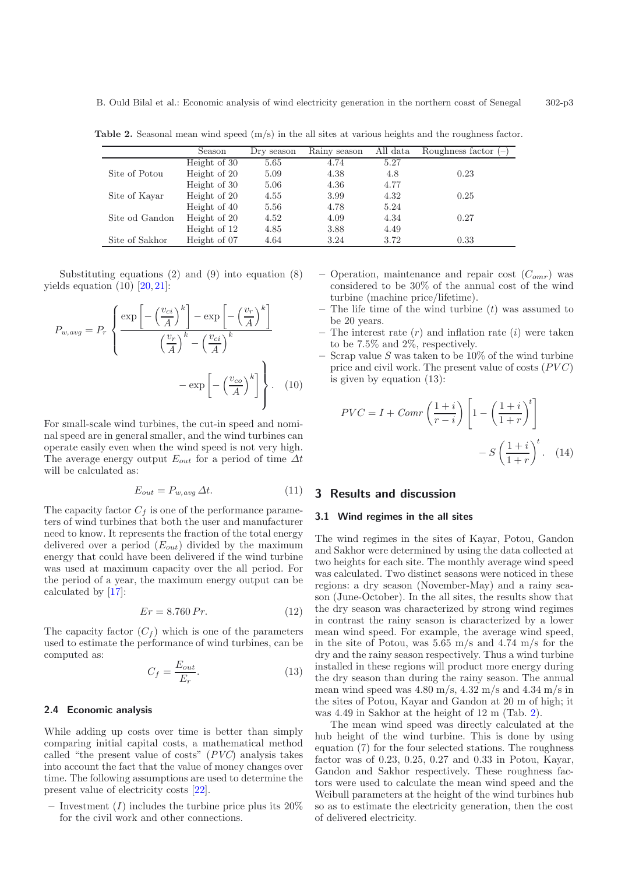<span id="page-2-0"></span>**Table 2.** Seasonal mean wind speed  $(m/s)$  in the all sites at various heights and the roughness factor.<br>Season Dry season Rainy season All data Roughness factor  $\overline{(-)}$ Roughness factor  $(-)$ Height of 30 5.65 4.74 5.27 Site of Potou Height of 20 5.09 4.38 4.8 0.23 Height of 30 5.06 4.36 4.77 Site of Kayar Height of 20 4.55 3.99 4.32 0.25 Height of 40 5.56 4.78 5.24 Site od Gandon Height of 20 4.52 4.09 4.34 0.27 Height of 12 4.85 3.88 4.49<br>Height of 07 4.64 3.24 3.72 Site of Sakhor Height of 07 4.64 3.24 3.72 0.33

Substituting equations (2) and (9) into equation (8) yields equation  $(10)$   $[20, 21]$  $[20, 21]$  $[20, 21]$ :

$$
P_{w,avg} = P_r \left\{ \frac{\exp\left[-\left(\frac{v_{ci}}{A}\right)^k\right] - \exp\left[-\left(\frac{v_r}{A}\right)^k\right]}{\left(\frac{v_r}{A}\right)^k - \left(\frac{v_{ci}}{A}\right)^k} - \exp\left[-\left(\frac{v_{co}}{A}\right)^k\right] \right\}.
$$
 (10)

For small-scale wind turbines, the cut-in speed and nominal speed are in general smaller, and the wind turbines can operate easily even when the wind speed is not very high. The average energy output  $E_{out}$  for a period of time  $\Delta t$ will be calculated as:

$$
E_{out} = P_{w, avg} \Delta t. \tag{11}
$$

The capacity factor  $C_f$  is one of the performance parameters of wind turbines that both the user and manufacturer need to know. It represents the fraction of the total energy delivered over a period  $(E_{out})$  divided by the maximum energy that could have been delivered if the wind turbine was used at maximum capacity over the all period. For the period of a year, the maximum energy output can be calculated by [\[17](#page-6-4)]:

$$
Er = 8.760 Pr. \tag{12}
$$

The capacity factor  $(C_f)$  which is one of the parameters used to estimate the performance of wind turbines, can be computed as:

$$
C_f = \frac{E_{out}}{E_r}.\tag{13}
$$

#### **2.4 Economic analysis**

While adding up costs over time is better than simply comparing initial capital costs, a mathematical method called "the present value of costs" (*PVC*) analysis takes into account the fact that the value of money changes over time. The following assumptions are used to determine the present value of electricity costs [\[22\]](#page-6-9).

**–** Investment (I) includes the turbine price plus its 20% for the civil work and other connections.

- $-$  Operation, maintenance and repair cost  $(C_{omr})$  was considered to be 30% of the annual cost of the wind turbine (machine price/lifetime).
- **–** The life time of the wind turbine (t) was assumed to be 20 years.
- **–** The interest rate (r) and inflation rate (i) were taken to be 7.5% and 2%, respectively.
- **–** Scrap value S was taken to be 10% of the wind turbine price and civil work. The present value of costs (PVC) is given by equation (13):

$$
PVC = I + Comr\left(\frac{1+i}{r-i}\right)\left[1 - \left(\frac{1+i}{1+r}\right)^t\right] - S\left(\frac{1+i}{1+r}\right)^t.
$$
 (14)

## **3 Results and discussion**

### **3.1 Wind regimes in the all sites**

The wind regimes in the sites of Kayar, Potou, Gandon and Sakhor were determined by using the data collected at two heights for each site. The monthly average wind speed was calculated. Two distinct seasons were noticed in these regions: a dry season (November-May) and a rainy season (June-October). In the all sites, the results show that the dry season was characterized by strong wind regimes in contrast the rainy season is characterized by a lower mean wind speed. For example, the average wind speed, in the site of Potou, was  $5.65 \text{ m/s}$  and  $4.74 \text{ m/s}$  for the dry and the rainy season respectively. Thus a wind turbine installed in these regions will product more energy during the dry season than during the rainy season. The annual mean wind speed was  $4.80 \text{ m/s}, 4.32 \text{ m/s}$  and  $4.34 \text{ m/s}$  in the sites of Potou, Kayar and Gandon at 20 m of high; it was 4.49 in Sakhor at the height of 12 m (Tab. [2\)](#page-2-0).

The mean wind speed was directly calculated at the hub height of the wind turbine. This is done by using equation (7) for the four selected stations. The roughness factor was of 0.23, 0.25, 0.27 and 0.33 in Potou, Kayar, Gandon and Sakhor respectively. These roughness factors were used to calculate the mean wind speed and the Weibull parameters at the height of the wind turbines hub so as to estimate the electricity generation, then the cost of delivered electricity.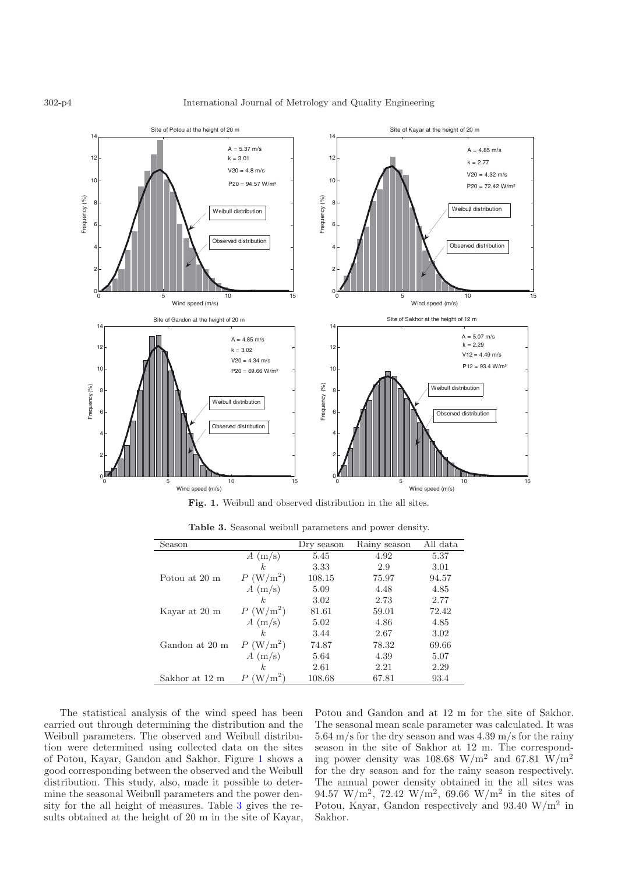302-p4 International Journal of Metrology and Quality Engineering



<span id="page-3-1"></span><span id="page-3-0"></span>**Fig. 1.** Weibull and observed distribution in the all sites.

**Table 3.** Seasonal weibull parameters and power density.

| Season         |                   | Dry season | Rainy season | All data |
|----------------|-------------------|------------|--------------|----------|
|                | A<br>(m/s)        | 5.45       | 4.92         | 5.37     |
|                | $k_1$             | 3.33       | 2.9          | 3.01     |
| Potou at 20 m  | $P(W/m^2)$        | 108.15     | 75.97        | 94.57    |
|                | $A \text{ (m/s)}$ | 5.09       | 4.48         | 4.85     |
|                | k.                | 3.02       | 2.73         | 2.77     |
| Kayar at 20 m  | $P(W/m^2)$        | 81.61      | 59.01        | 72.42    |
|                | $A \text{ (m/s)}$ | 5.02       | 4.86         | 4.85     |
|                | $\mathbf{k}$      | 3.44       | 2.67         | 3.02     |
| Gandon at 20 m | $P(W/m^2)$        | 74.87      | 78.32        | 69.66    |
|                | $A \text{ (m/s)}$ | 5.64       | 4.39         | 5.07     |
|                | k.                | 2.61       | 2.21         | 2.29     |
| Sakhor at 12 m | $(W/m^2)$         | 108.68     | 67.81        | 93.4     |

The statistical analysis of the wind speed has been carried out through determining the distribution and the Weibull parameters. The observed and Weibull distribution were determined using collected data on the sites of Potou, Kayar, Gandon and Sakhor. Figure [1](#page-3-0) shows a good corresponding between the observed and the Weibull distribution. This study, also, made it possible to determine the seasonal Weibull parameters and the power density for the all height of measures. Table [3](#page-3-1) gives the results obtained at the height of 20 m in the site of Kayar, Potou and Gandon and at 12 m for the site of Sakhor. The seasonal mean scale parameter was calculated. It was 5.64 m/s for the dry season and was 4.39 m/s for the rainy season in the site of Sakhor at 12 m. The corresponding power density was  $108.68 \text{ W/m}^2$  and  $67.81 \text{ W/m}^2$ for the dry season and for the rainy season respectively. The annual power density obtained in the all sites was 94.57 W/m<sup>2</sup>, 72.42 W/m<sup>2</sup>, 69.66 W/m<sup>2</sup> in the sites of Potou, Kayar, Gandon respectively and  $93.40 \text{ W/m}^2$  in Sakhor.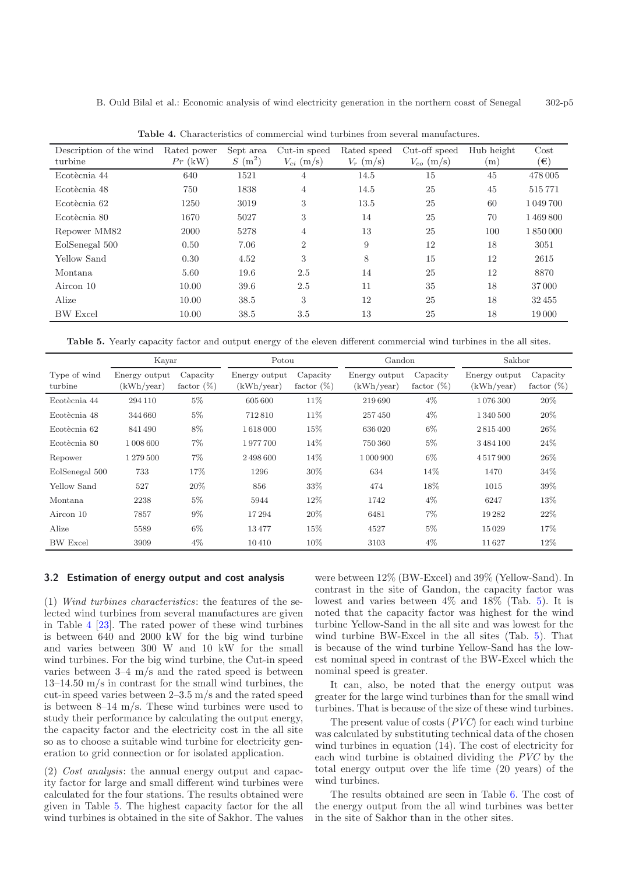<span id="page-4-1"></span>

| Description of the wind<br>turbine | Rated power<br>Pr(kW) | Sept area<br>$S(m^2)$ | Cut-in speed<br>$V_{ci}$ (m/s) | Rated speed<br>$V_r$ (m/s) | Cut-off speed<br>$V_{co}$ (m/s) | Hub height<br>(m) | Cost<br>$(\bm{\epsilon})$ |
|------------------------------------|-----------------------|-----------------------|--------------------------------|----------------------------|---------------------------------|-------------------|---------------------------|
| Ecotècnia 44                       | 640                   | 1521                  | $\overline{4}$                 | 14.5                       | 15                              | 45                | 478 005                   |
| Ecotècnia 48                       | 750                   | 1838                  | $\overline{4}$                 | 14.5                       | 25                              | 45                | 515771                    |
| Ecotècnia 62                       | 1250                  | 3019                  | 3                              | 13.5                       | 25                              | 60                | 1 049 700                 |
| Ecotècnia 80                       | 1670                  | 5027                  | 3                              | 14                         | 25                              | 70                | 1469800                   |
| Repower MM82                       | 2000                  | 5278                  | 4                              | 13                         | 25                              | 100               | 1850000                   |
| EolSenegal 500                     | 0.50                  | 7.06                  | $\overline{2}$                 | 9                          | 12                              | 18                | 3051                      |
| Yellow Sand                        | 0.30                  | 4.52                  | 3                              | 8                          | 15                              | 12                | 2615                      |
| Montana                            | 5.60                  | 19.6                  | 2.5                            | 14                         | 25                              | 12                | 8870                      |
| Aircon 10                          | 10.00                 | 39.6                  | 2.5                            | 11                         | 35                              | 18                | 37000                     |
| Alize                              | 10.00                 | 38.5                  | 3                              | 12                         | 25                              | 18                | 32455                     |
| <b>BW</b> Excel                    | 10.00                 | 38.5                  | 3.5                            | 13                         | 25                              | 18                | 19 000                    |

<span id="page-4-0"></span>**Table 4.** Characteristics of commercial wind turbines from several manufactures.

**Table 5.** Yearly capacity factor and output energy of the eleven different commercial wind turbines in the all sites.

|                         | Kayar                       |                           | Potou                       |                           | Gandon                      |                           | Sakhor                      |                           |
|-------------------------|-----------------------------|---------------------------|-----------------------------|---------------------------|-----------------------------|---------------------------|-----------------------------|---------------------------|
| Type of wind<br>turbine | Energy output<br>(kWh/year) | Capacity<br>factor $(\%)$ | Energy output<br>(kWh/year) | Capacity<br>factor $(\%)$ | Energy output<br>(kWh/year) | Capacity<br>factor $(\%)$ | Energy output<br>(kWh/year) | Capacity<br>factor $(\%)$ |
| Ecotècnia 44            | 294 110                     | $5\%$                     | 605 600                     | 11\%                      | 219690                      | $4\%$                     | 1076300                     | 20%                       |
| Ecotècnia 48            | 344 660                     | $5\%$                     | 712810                      | 11\%                      | 257450                      | $4\%$                     | 1 340 500                   | 20%                       |
| Ecotècnia 62            | 841490                      | 8%                        | 1618000                     | 15%                       | 636 020                     | $6\%$                     | 2815400                     | 26\%                      |
| Ecotècnia 80            | 1 008 600                   | $7\%$                     | 1977700                     | 14%                       | 750 360                     | $5\%$                     | 3484100                     | 24%                       |
| Repower                 | 1 279 500                   | $7\%$                     | 2498600                     | 14%                       | 1 000 900                   | $6\%$                     | 4517900                     | 26\%                      |
| EolSenegal 500          | 733                         | 17%                       | 1296                        | 30%                       | 634                         | 14%                       | 1470                        | 34\%                      |
| Yellow Sand             | 527                         | 20%                       | 856                         | 33%                       | 474                         | 18%                       | 1015                        | 39%                       |
| Montana                 | 2238                        | $5\%$                     | 5944                        | 12%                       | 1742                        | $4\%$                     | 6247                        | 13%                       |
| Aircon 10               | 7857                        | $9\%$                     | 17294                       | 20%                       | 6481                        | 7%                        | 19282                       | 22%                       |
| Alize                   | 5589                        | $6\%$                     | 13477                       | 15%                       | 4527                        | $5\%$                     | 15029                       | 17%                       |
| <b>BW</b> Excel         | 3909                        | $4\%$                     | 10410                       | 10%                       | 3103                        | $4\%$                     | 11627                       | 12%                       |

## **3.2 Estimation of energy output and cost analysis**

(1) *Wind turbines characteristics*: the features of the selected wind turbines from several manufactures are given in Table [4](#page-4-0) [\[23\]](#page-6-10). The rated power of these wind turbines is between 640 and 2000 kW for the big wind turbine and varies between 300 W and 10 kW for the small wind turbines. For the big wind turbine, the Cut-in speed varies between 3–4 m/s and the rated speed is between 13–14.50 m/s in contrast for the small wind turbines, the cut-in speed varies between 2–3.5 m/s and the rated speed is between 8–14 m/s. These wind turbines were used to study their performance by calculating the output energy, the capacity factor and the electricity cost in the all site so as to choose a suitable wind turbine for electricity generation to grid connection or for isolated application.

(2) *Cost analysis*: the annual energy output and capacity factor for large and small different wind turbines were calculated for the four stations. The results obtained were given in Table [5.](#page-4-1) The highest capacity factor for the all wind turbines is obtained in the site of Sakhor. The values

were between 12% (BW-Excel) and 39% (Yellow-Sand). In contrast in the site of Gandon, the capacity factor was lowest and varies between 4% and 18% (Tab. [5\)](#page-4-1). It is noted that the capacity factor was highest for the wind turbine Yellow-Sand in the all site and was lowest for the wind turbine BW-Excel in the all sites (Tab. [5\)](#page-4-1). That is because of the wind turbine Yellow-Sand has the lowest nominal speed in contrast of the BW-Excel which the nominal speed is greater.

It can, also, be noted that the energy output was greater for the large wind turbines than for the small wind turbines. That is because of the size of these wind turbines.

The present value of costs (*PVC*) for each wind turbine was calculated by substituting technical data of the chosen wind turbines in equation (14). The cost of electricity for each wind turbine is obtained dividing the *PVC* by the total energy output over the life time (20 years) of the wind turbines.

The results obtained are seen in Table [6.](#page-5-5) The cost of the energy output from the all wind turbines was better in the site of Sakhor than in the other sites.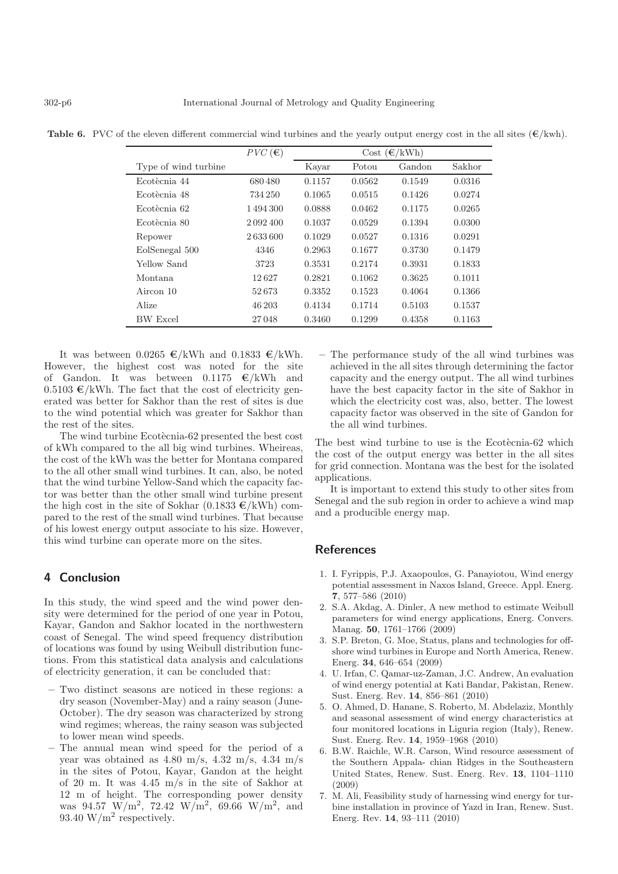#### <span id="page-5-5"></span>302-p6 International Journal of Metrology and Quality Engineering

|                      | $PVC(\epsilon)$ | Cost $(\epsilon/kWh)$ |        |        |        |
|----------------------|-----------------|-----------------------|--------|--------|--------|
| Type of wind turbine |                 | Kayar                 | Potou  | Gandon | Sakhor |
| Ecotècnia 44         | 680480          | 0.1157                | 0.0562 | 0.1549 | 0.0316 |
| Ecotècnia 48         | 734 250         | 0.1065                | 0.0515 | 0.1426 | 0.0274 |
| Ecotècnia 62         | 1494300         | 0.0888                | 0.0462 | 0.1175 | 0.0265 |
| Ecotècnia 80         | 2 0 9 2 4 0 0   | 0.1037                | 0.0529 | 0.1394 | 0.0300 |
| Repower              | 2633600         | 0.1029                | 0.0527 | 0.1316 | 0.0291 |
| EolSenegal 500       | 4346            | 0.2963                | 0.1677 | 0.3730 | 0.1479 |
| Yellow Sand          | 3723            | 0.3531                | 0.2174 | 0.3931 | 0.1833 |
| Montana.             | 12627           | 0.2821                | 0.1062 | 0.3625 | 0.1011 |
| Aircon 10            | 52673           | 0.3352                | 0.1523 | 0.4064 | 0.1366 |
| Alize                | 46 203          | 0.4134                | 0.1714 | 0.5103 | 0.1537 |
| <b>BW</b> Excel      | 27048           | 0.3460                | 0.1299 | 0.4358 | 0.1163 |

**Table 6.** PVC of the eleven different commercial wind turbines and the yearly output energy cost in the all sites  $(\epsilon/kwh)$ .

It was between 0.0265  $\epsilon$ /kWh and 0.1833  $\epsilon$ /kWh. However, the highest cost was noted for the site of Gandon. It was between  $0.1175 \in/kWh$  and  $0.5103 \in$ /kWh. The fact that the cost of electricity generated was better for Sakhor than the rest of sites is due to the wind potential which was greater for Sakhor than the rest of the sites.

The wind turbine Ecotècnia-62 presented the best cost of kWh compared to the all big wind turbines. Wheireas, the cost of the kWh was the better for Montana compared to the all other small wind turbines. It can, also, be noted that the wind turbine Yellow-Sand which the capacity factor was better than the other small wind turbine present the high cost in the site of Sokhar (0.1833  $\epsilon$ /kWh) compared to the rest of the small wind turbines. That because of his lowest energy output associate to his size. However, this wind turbine can operate more on the sites.

# **4 Conclusion**

In this study, the wind speed and the wind power density were determined for the period of one year in Potou, Kayar, Gandon and Sakhor located in the northwestern coast of Senegal. The wind speed frequency distribution of locations was found by using Weibull distribution functions. From this statistical data analysis and calculations of electricity generation, it can be concluded that:

- **–** Two distinct seasons are noticed in these regions: a dry season (November-May) and a rainy season (June-October). The dry season was characterized by strong wind regimes; whereas, the rainy season was subjected to lower mean wind speeds.
- **–** The annual mean wind speed for the period of a year was obtained as  $4.80 \text{ m/s}, 4.32 \text{ m/s}, 4.34 \text{ m/s}$ in the sites of Potou, Kayar, Gandon at the height of 20 m. It was 4.45 m/s in the site of Sakhor at 12 m of height. The corresponding power density was 94.57 W/m<sup>2</sup>, 72.42 W/m<sup>2</sup>, 69.66 W/m<sup>2</sup>, and 93.40  $\rm W/m^2$  respectively.

**–** The performance study of the all wind turbines was achieved in the all sites through determining the factor capacity and the energy output. The all wind turbines have the best capacity factor in the site of Sakhor in which the electricity cost was, also, better. The lowest capacity factor was observed in the site of Gandon for the all wind turbines.

The best wind turbine to use is the Ecotecnia-62 which the cost of the output energy was better in the all sites for grid connection. Montana was the best for the isolated applications.

It is important to extend this study to other sites from Senegal and the sub region in order to achieve a wind map and a producible energy map.

## <span id="page-5-0"></span>**References**

- 1. I. Fyrippis, P.J. Axaopoulos, G. Panayiotou, Wind energy potential assessment in Naxos Island, Greece. Appl. Energ. **7**, 577–586 (2010)
- <span id="page-5-1"></span>2. S.A. Akdag, A. Dinler, A new method to estimate Weibull parameters for wind energy applications, Energ. Convers. Manag. **50**, 1761–1766 (2009)
- <span id="page-5-2"></span>3. S.P. Breton, G. Moe, Status, plans and technologies for offshore wind turbines in Europe and North America, Renew. Energ. **34**, 646–654 (2009)
- <span id="page-5-3"></span>4. U. Irfan, C. Qamar-uz-Zaman, J.C. Andrew, An evaluation of wind energy potential at Kati Bandar, Pakistan, Renew. Sust. Energ. Rev. **14**, 856–861 (2010)
- 5. O. Ahmed, D. Hanane, S. Roberto, M. Abdelaziz, Monthly and seasonal assessment of wind energy characteristics at four monitored locations in Liguria region (Italy), Renew. Sust. Energ. Rev. **14**, 1959–1968 (2010)
- 6. B.W. Raichle, W.R. Carson, Wind resource assessment of the Southern Appala- chian Ridges in the Southeastern United States, Renew. Sust. Energ. Rev. **13**, 1104–1110 (2009)
- <span id="page-5-4"></span>7. M. Ali, Feasibility study of harnessing wind energy for turbine installation in province of Yazd in Iran, Renew. Sust. Energ. Rev. **14**, 93–111 (2010)